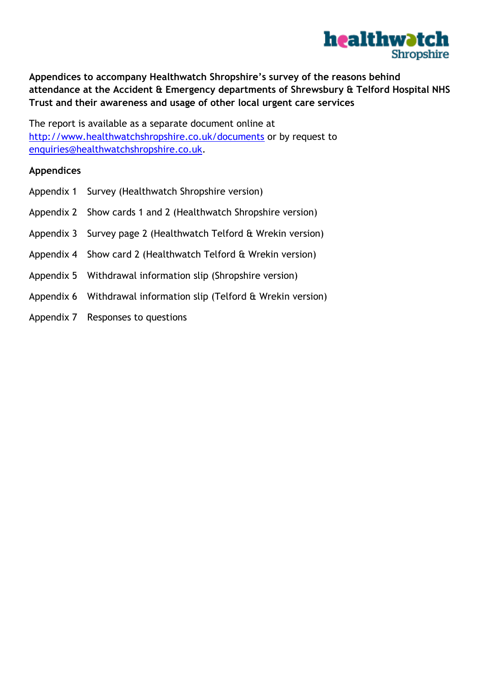

**Appendices to accompany Healthwatch Shropshire's survey of the reasons behind attendance at the Accident & Emergency departments of Shrewsbury & Telford Hospital NHS Trust and their awareness and usage of other local urgent care services**

The report is available as a separate document online at <http://www.healthwatchshropshire.co.uk/documents> or by request to [enquiries@healthwatchshropshire.co.uk.](mailto:enquiries@healthwatchshropshire.co.uk)

### **Appendices**

- Appendix 1 [Survey \(Healthwatch Shropshire version\)](#page-1-0)
- Appendix 2 [Show cards 1 and 2 \(Healthwatch Shropshire version\)](#page-3-0)
- Appendix 3 [Survey page 2 \(Healthwatch Telford & Wrekin version\)](#page-6-0)
- Appendix 4 [Show card 2 \(Healthwatch Telford & Wrekin version\)](#page-7-0)
- Appendix 5 [Withdrawal information slip \(Shropshire version\)](#page-8-0)
- Appendix 6 [Withdrawal information slip \(Telford & Wrekin version\)](#page-8-1)
- Appendix 7 [Responses to questions](#page-8-2)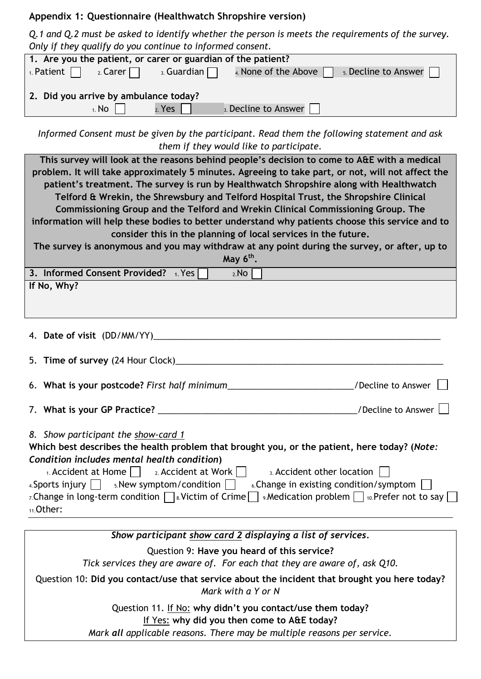### <span id="page-1-0"></span>**Appendix 1: Questionnaire (Healthwatch Shropshire version)**

*Q.1 and Q.2 must be asked to identify whether the person is meets the requirements of the survey. Only if they qualify do you continue to informed consent.*

| <u>the common common common common common components</u>                                                          |  |  |  |  |  |  |
|-------------------------------------------------------------------------------------------------------------------|--|--|--|--|--|--|
| 1. Are you the patient, or carer or guardian of the patient?                                                      |  |  |  |  |  |  |
| 1. Patient $\Box$ 2. Carer $\Box$ 3. Guardian $\Box$ 4. None of the Above $\Box$<br>$5.$ Decline to Answer $\Box$ |  |  |  |  |  |  |
| 2. Did you arrive by ambulance today?                                                                             |  |  |  |  |  |  |
| $_1$ . No $\Box$<br>2. Yes<br>3. Decline to Answer                                                                |  |  |  |  |  |  |
|                                                                                                                   |  |  |  |  |  |  |

*Informed Consent must be given by the participant. Read them the following statement and ask them if they would like to participate.*

| This survey will look at the reasons behind people's decision to come to A&E with a medical<br>problem. It will take approximately 5 minutes. Agreeing to take part, or not, will not affect the<br>patient's treatment. The survey is run by Healthwatch Shropshire along with Healthwatch<br>Telford & Wrekin, the Shrewsbury and Telford Hospital Trust, the Shropshire Clinical<br>Commissioning Group and the Telford and Wrekin Clinical Commissioning Group. The<br>information will help these bodies to better understand why patients choose this service and to<br>consider this in the planning of local services in the future. |  |  |  |  |  |  |  |
|----------------------------------------------------------------------------------------------------------------------------------------------------------------------------------------------------------------------------------------------------------------------------------------------------------------------------------------------------------------------------------------------------------------------------------------------------------------------------------------------------------------------------------------------------------------------------------------------------------------------------------------------|--|--|--|--|--|--|--|
| The survey is anonymous and you may withdraw at any point during the survey, or after, up to                                                                                                                                                                                                                                                                                                                                                                                                                                                                                                                                                 |  |  |  |  |  |  |  |
|                                                                                                                                                                                                                                                                                                                                                                                                                                                                                                                                                                                                                                              |  |  |  |  |  |  |  |
| May $6th$ .                                                                                                                                                                                                                                                                                                                                                                                                                                                                                                                                                                                                                                  |  |  |  |  |  |  |  |
| 3. Informed Consent Provided? 1. Yes<br>2.NO                                                                                                                                                                                                                                                                                                                                                                                                                                                                                                                                                                                                 |  |  |  |  |  |  |  |
| If No, Why?                                                                                                                                                                                                                                                                                                                                                                                                                                                                                                                                                                                                                                  |  |  |  |  |  |  |  |
|                                                                                                                                                                                                                                                                                                                                                                                                                                                                                                                                                                                                                                              |  |  |  |  |  |  |  |
|                                                                                                                                                                                                                                                                                                                                                                                                                                                                                                                                                                                                                                              |  |  |  |  |  |  |  |
|                                                                                                                                                                                                                                                                                                                                                                                                                                                                                                                                                                                                                                              |  |  |  |  |  |  |  |
|                                                                                                                                                                                                                                                                                                                                                                                                                                                                                                                                                                                                                                              |  |  |  |  |  |  |  |
|                                                                                                                                                                                                                                                                                                                                                                                                                                                                                                                                                                                                                                              |  |  |  |  |  |  |  |
|                                                                                                                                                                                                                                                                                                                                                                                                                                                                                                                                                                                                                                              |  |  |  |  |  |  |  |
|                                                                                                                                                                                                                                                                                                                                                                                                                                                                                                                                                                                                                                              |  |  |  |  |  |  |  |
|                                                                                                                                                                                                                                                                                                                                                                                                                                                                                                                                                                                                                                              |  |  |  |  |  |  |  |
| 6. What is your postcode? First half minimum_____________________________/Decline to Answer                                                                                                                                                                                                                                                                                                                                                                                                                                                                                                                                                  |  |  |  |  |  |  |  |
|                                                                                                                                                                                                                                                                                                                                                                                                                                                                                                                                                                                                                                              |  |  |  |  |  |  |  |
|                                                                                                                                                                                                                                                                                                                                                                                                                                                                                                                                                                                                                                              |  |  |  |  |  |  |  |
|                                                                                                                                                                                                                                                                                                                                                                                                                                                                                                                                                                                                                                              |  |  |  |  |  |  |  |
| 8. Show participant the show-card 1                                                                                                                                                                                                                                                                                                                                                                                                                                                                                                                                                                                                          |  |  |  |  |  |  |  |
| Which best describes the health problem that brought you, or the patient, here today? (Note:                                                                                                                                                                                                                                                                                                                                                                                                                                                                                                                                                 |  |  |  |  |  |  |  |
| Condition includes mental health condition)                                                                                                                                                                                                                                                                                                                                                                                                                                                                                                                                                                                                  |  |  |  |  |  |  |  |
|                                                                                                                                                                                                                                                                                                                                                                                                                                                                                                                                                                                                                                              |  |  |  |  |  |  |  |
| $\alpha$ . Accident at Home $\vert \ \vert$ 2. Accident at Work $\vert \ \vert$<br>3. Accident other location                                                                                                                                                                                                                                                                                                                                                                                                                                                                                                                                |  |  |  |  |  |  |  |
| $4.$ Sports injury $\Box$ $5.$ New symptom/condition<br>6. Change in existing condition/symptom                                                                                                                                                                                                                                                                                                                                                                                                                                                                                                                                              |  |  |  |  |  |  |  |
| 7. Change in long-term condition $\Box$ 8. Victim of Crime $\Box$ 9. Medication problem $\Box$ 10. Prefer not to say [                                                                                                                                                                                                                                                                                                                                                                                                                                                                                                                       |  |  |  |  |  |  |  |
| 11.Other:                                                                                                                                                                                                                                                                                                                                                                                                                                                                                                                                                                                                                                    |  |  |  |  |  |  |  |
|                                                                                                                                                                                                                                                                                                                                                                                                                                                                                                                                                                                                                                              |  |  |  |  |  |  |  |

*Show participant show card 2 displaying a list of services.* Question 9: **Have you heard of this service?**

*Tick services they are aware of. For each that they are aware of, ask Q10.*

Question 10: **Did you contact/use that service about the incident that brought you here today?**  *Mark with a Y or N*

Question 11. If No: **why didn't you contact/use them today?**

If Yes: **why did you then come to A&E today?**

*Mark all applicable reasons. There may be multiple reasons per service.*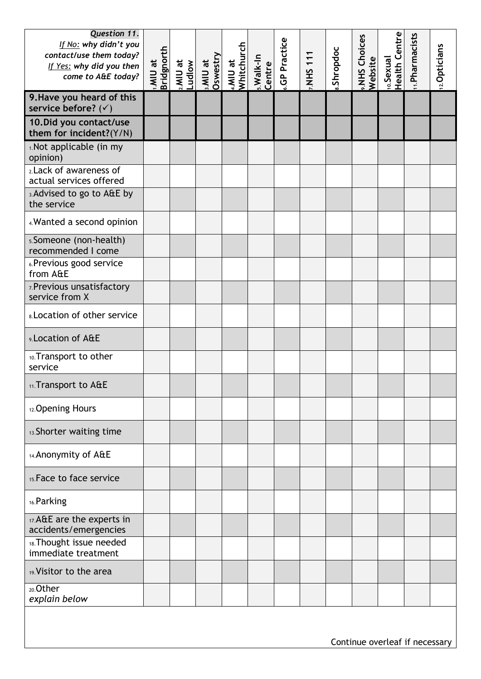| Question 11.<br>If No: why didn't you<br>contact/use them today?<br>If Yes: why did you then<br>come to A&E today? | <b>Bridgnorth</b><br>1.MIU at | a MIU at | <b>MIU at</b><br>Oswestry | 4.MIU at<br>Whitchurch | s.Walk-In<br>Centre | <b>GP Practice</b> | NHS 111 | Shropdoc | <b>».NHS Choices</b><br>Website | <sub>10.</sub> Sexual<br>Health Centre | 11. Pharmacists | 12. Opticians |
|--------------------------------------------------------------------------------------------------------------------|-------------------------------|----------|---------------------------|------------------------|---------------------|--------------------|---------|----------|---------------------------------|----------------------------------------|-----------------|---------------|
| 9. Have you heard of this<br>service before? $($ )                                                                 |                               |          |                           |                        |                     |                    |         |          |                                 |                                        |                 |               |
| 10. Did you contact/use<br>them for incident?(Y/N)                                                                 |                               |          |                           |                        |                     |                    |         |          |                                 |                                        |                 |               |
| 1. Not applicable (in my<br>opinion)                                                                               |                               |          |                           |                        |                     |                    |         |          |                                 |                                        |                 |               |
| 2. Lack of awareness of<br>actual services offered                                                                 |                               |          |                           |                        |                     |                    |         |          |                                 |                                        |                 |               |
| 3. Advised to go to A&E by<br>the service                                                                          |                               |          |                           |                        |                     |                    |         |          |                                 |                                        |                 |               |
| 4. Wanted a second opinion                                                                                         |                               |          |                           |                        |                     |                    |         |          |                                 |                                        |                 |               |
| 5. Someone (non-health)<br>recommended I come                                                                      |                               |          |                           |                        |                     |                    |         |          |                                 |                                        |                 |               |
| 6. Previous good service<br>from A&E                                                                               |                               |          |                           |                        |                     |                    |         |          |                                 |                                        |                 |               |
| 7. Previous unsatisfactory<br>service from X                                                                       |                               |          |                           |                        |                     |                    |         |          |                                 |                                        |                 |               |
| <b>8. Location of other service</b>                                                                                |                               |          |                           |                        |                     |                    |         |          |                                 |                                        |                 |               |
| 9. Location of A&E                                                                                                 |                               |          |                           |                        |                     |                    |         |          |                                 |                                        |                 |               |
| 10. Transport to other<br>service                                                                                  |                               |          |                           |                        |                     |                    |         |          |                                 |                                        |                 |               |
| 11. Transport to A&E                                                                                               |                               |          |                           |                        |                     |                    |         |          |                                 |                                        |                 |               |
| 12. Opening Hours                                                                                                  |                               |          |                           |                        |                     |                    |         |          |                                 |                                        |                 |               |
| 13. Shorter waiting time                                                                                           |                               |          |                           |                        |                     |                    |         |          |                                 |                                        |                 |               |
| 14. Anonymity of A&E                                                                                               |                               |          |                           |                        |                     |                    |         |          |                                 |                                        |                 |               |
| 15. Face to face service                                                                                           |                               |          |                           |                        |                     |                    |         |          |                                 |                                        |                 |               |
| 16. Parking                                                                                                        |                               |          |                           |                        |                     |                    |         |          |                                 |                                        |                 |               |
| 17. A&E are the experts in<br>accidents/emergencies                                                                |                               |          |                           |                        |                     |                    |         |          |                                 |                                        |                 |               |
| 18. Thought issue needed<br>immediate treatment                                                                    |                               |          |                           |                        |                     |                    |         |          |                                 |                                        |                 |               |
| 19. Visitor to the area                                                                                            |                               |          |                           |                        |                     |                    |         |          |                                 |                                        |                 |               |
| 20.Other<br>explain below                                                                                          |                               |          |                           |                        |                     |                    |         |          |                                 |                                        |                 |               |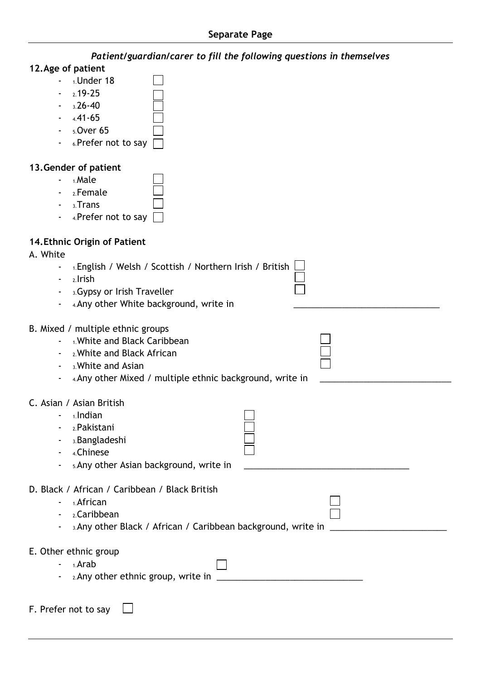#### **12.Age of patient**

| $1.$ Under 18       |  |
|---------------------|--|
| $2.19 - 25$         |  |
| $3.26 - 40$         |  |
| $441 - 65$          |  |
| $5.0$ ver 65        |  |
| 6.Prefer not to say |  |
|                     |  |

### **13.Gender of patient**

- $-$  1. Male
- 2.Female
- 3.Trans
- 4.Prefer not to say

### **14.Ethnic Origin of Patient**

#### A. White

- 1.English / Welsh / Scottish / Northern Irish / British
- $-2.1$ rish
- 3.Gypsy or Irish Traveller
- 4.Any other White background, write in

### B. Mixed / multiple ethnic groups

- 1.White and Black Caribbean
- 2.White and Black African
- 3.White and Asian
- 4.Any other Mixed / multiple ethnic background, write in

### C. Asian / Asian British

- $-$  1.Indian
- 2.Pakistani
- 3.Bangladeshi
- 4.Chinese
- 5.Any other Asian background, write in
- D. Black / African / Caribbean / Black British
	- 1.African
	- 2.Caribbean
	- 3.Any other Black / African / Caribbean background, write in
- E. Other ethnic group
	- $-1.$ Arab
	- 2.Any other ethnic group, write in
- <span id="page-3-0"></span>F. Prefer not to say $\perp$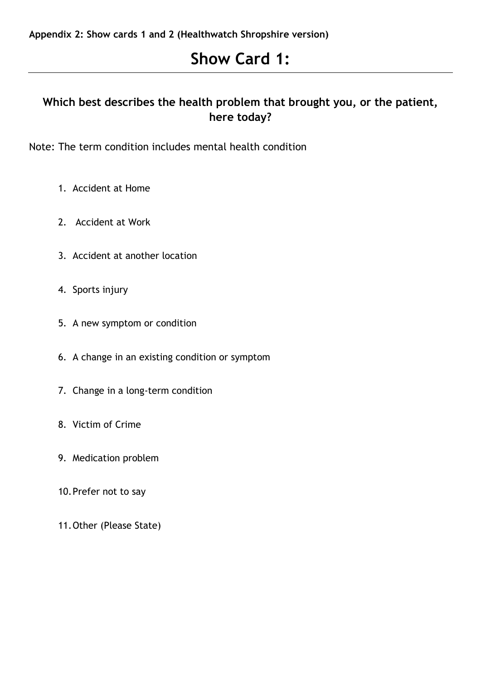# **Show Card 1:**

## **Which best describes the health problem that brought you, or the patient, here today?**

Note: The term condition includes mental health condition

- 1. Accident at Home
- 2. Accident at Work
- 3. Accident at another location
- 4. Sports injury
- 5. A new symptom or condition
- 6. A change in an existing condition or symptom
- 7. Change in a long-term condition
- 8. Victim of Crime
- 9. Medication problem
- 10.Prefer not to say
- 11.Other (Please State)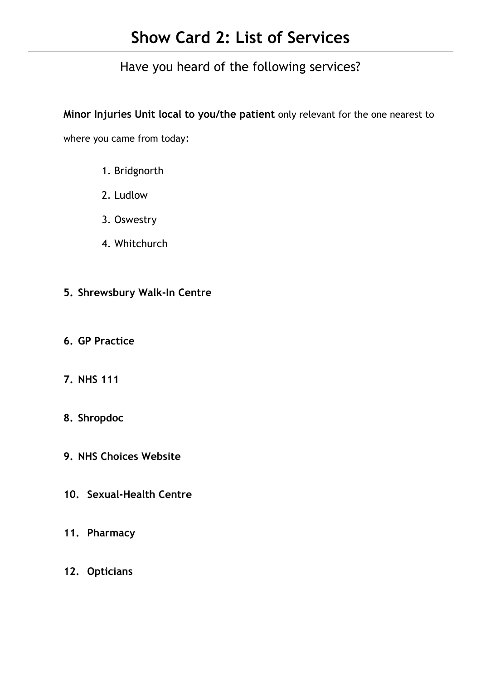# **Show Card 2: List of Services**

Have you heard of the following services?

**Minor Injuries Unit local to you/the patient** only relevant for the one nearest to

where you came from today:

- 1. Bridgnorth
- 2. Ludlow
- 3. Oswestry
- 4. Whitchurch
- **5. Shrewsbury Walk-In Centre**
- **6. GP Practice**
- **7. NHS 111**
- **8. Shropdoc**
- **9. NHS Choices Website**
- **10. Sexual-Health Centre**
- **11. Pharmacy**
- **12. Opticians**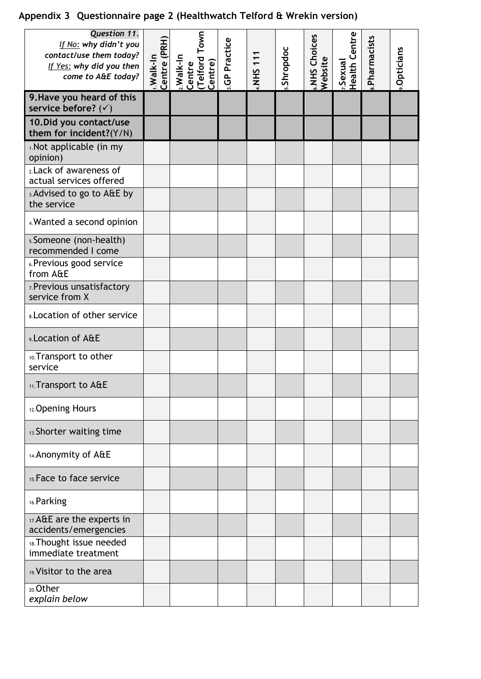# <span id="page-6-0"></span>**Appendix 3 Questionnaire page 2 (Healthwatch Telford & Wrekin version)**

| Question 11.<br>If No: why didn't you<br>contact/use them today?<br>If Yes: why did you then<br>come to A&E today? | Centre (PRH)<br>I.Walk-In | (Telford Town)<br>Centre)<br>2. Walk-In<br>Centre | <b>GP Practice</b> | <b>NHS 11</b> | Shropdoc | «.NHS Choices<br>Website | 7.Sexual<br>Health Centre | Pharmacists | Opticians |
|--------------------------------------------------------------------------------------------------------------------|---------------------------|---------------------------------------------------|--------------------|---------------|----------|--------------------------|---------------------------|-------------|-----------|
| 9. Have you heard of this<br>service before? $(\checkmark)$                                                        |                           |                                                   |                    |               |          |                          |                           |             |           |
| 10. Did you contact/use<br>them for incident?(Y/N)                                                                 |                           |                                                   |                    |               |          |                          |                           |             |           |
| 1. Not applicable (in my<br>opinion)                                                                               |                           |                                                   |                    |               |          |                          |                           |             |           |
| 2. Lack of awareness of<br>actual services offered                                                                 |                           |                                                   |                    |               |          |                          |                           |             |           |
| 3. Advised to go to A&E by<br>the service                                                                          |                           |                                                   |                    |               |          |                          |                           |             |           |
| 4. Wanted a second opinion                                                                                         |                           |                                                   |                    |               |          |                          |                           |             |           |
| 5. Someone (non-health)<br>recommended I come                                                                      |                           |                                                   |                    |               |          |                          |                           |             |           |
| 6. Previous good service<br>from A&E                                                                               |                           |                                                   |                    |               |          |                          |                           |             |           |
| 7. Previous unsatisfactory<br>service from X                                                                       |                           |                                                   |                    |               |          |                          |                           |             |           |
| <b>8. Location of other service</b>                                                                                |                           |                                                   |                    |               |          |                          |                           |             |           |
| 9. Location of A&E                                                                                                 |                           |                                                   |                    |               |          |                          |                           |             |           |
| 10. Transport to other<br>service                                                                                  |                           |                                                   |                    |               |          |                          |                           |             |           |
| 11. Transport to A&E                                                                                               |                           |                                                   |                    |               |          |                          |                           |             |           |
| 12. Opening Hours                                                                                                  |                           |                                                   |                    |               |          |                          |                           |             |           |
| 13. Shorter waiting time                                                                                           |                           |                                                   |                    |               |          |                          |                           |             |           |
| 14. Anonymity of A&E                                                                                               |                           |                                                   |                    |               |          |                          |                           |             |           |
| 15. Face to face service                                                                                           |                           |                                                   |                    |               |          |                          |                           |             |           |
| 16. Parking                                                                                                        |                           |                                                   |                    |               |          |                          |                           |             |           |
| 17.A&E are the experts in<br>accidents/emergencies                                                                 |                           |                                                   |                    |               |          |                          |                           |             |           |
| 18. Thought issue needed<br>immediate treatment                                                                    |                           |                                                   |                    |               |          |                          |                           |             |           |
| 19. Visitor to the area                                                                                            |                           |                                                   |                    |               |          |                          |                           |             |           |
| <sub>20</sub> .Other<br>explain below                                                                              |                           |                                                   |                    |               |          |                          |                           |             |           |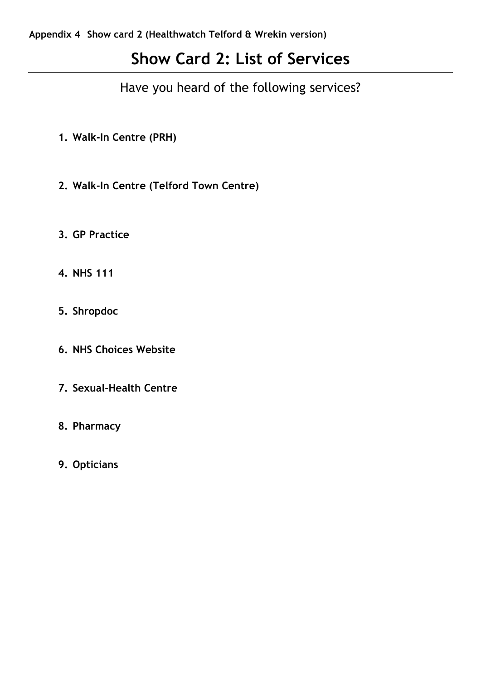# <span id="page-7-0"></span>**Show Card 2: List of Services**

Have you heard of the following services?

- **1. Walk-In Centre (PRH)**
- **2. Walk-In Centre (Telford Town Centre)**
- **3. GP Practice**
- **4. NHS 111**
- **5. Shropdoc**
- **6. NHS Choices Website**
- **7. Sexual-Health Centre**
- **8. Pharmacy**
- **9. Opticians**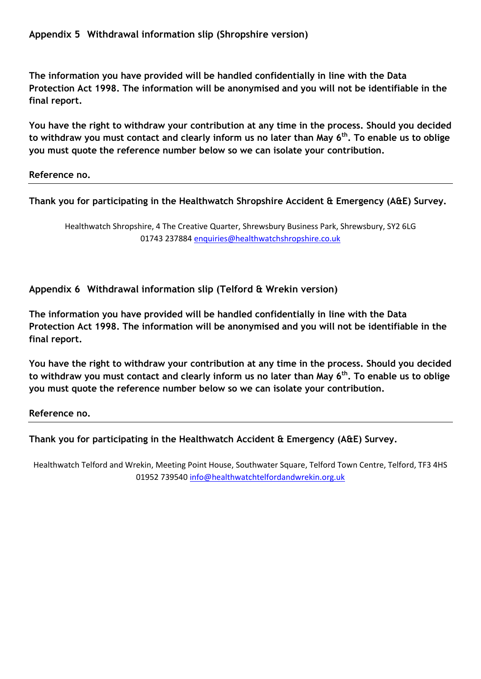<span id="page-8-0"></span>**The information you have provided will be handled confidentially in line with the Data Protection Act 1998. The information will be anonymised and you will not be identifiable in the final report.**

**You have the right to withdraw your contribution at any time in the process. Should you decided to withdraw you must contact and clearly inform us no later than May 6th. To enable us to oblige you must quote the reference number below so we can isolate your contribution.**

**Reference no.**

**Thank you for participating in the Healthwatch Shropshire Accident & Emergency (A&E) Survey.**

Healthwatch Shropshire, 4 The Creative Quarter, Shrewsbury Business Park, Shrewsbury, SY2 6LG 01743 237884 [enquiries@healthwatchshropshire.co.uk](mailto:enquiries@healthwatchshropshire.co.uk)

<span id="page-8-1"></span>**Appendix 6 Withdrawal information slip (Telford & Wrekin version)**

**The information you have provided will be handled confidentially in line with the Data Protection Act 1998. The information will be anonymised and you will not be identifiable in the final report.**

**You have the right to withdraw your contribution at any time in the process. Should you decided to withdraw you must contact and clearly inform us no later than May 6th. To enable us to oblige you must quote the reference number below so we can isolate your contribution.**

**Reference no.**

**Thank you for participating in the Healthwatch Accident & Emergency (A&E) Survey.**

<span id="page-8-2"></span>Healthwatch Telford and Wrekin, Meeting Point House, Southwater Square, Telford Town Centre, Telford, TF3 4HS 01952 739540 [info@healthwatchtelfordandwrekin.org.uk](mailto:info@healthwatchtelfordandwrekin.org.uk)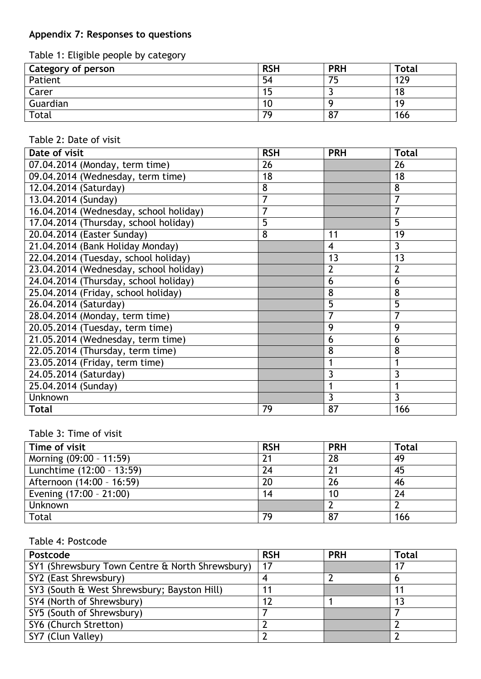## **Appendix 7: Responses to questions**

Table 1: Eligible people by category

| Category of person | <b>RSH</b> | <b>PRH</b> | Total |
|--------------------|------------|------------|-------|
| Patient            | 54         | 75         | 129   |
| Carer              | 15         |            | 18    |
| Guardian           | 10         |            | 19    |
| Total              | 79         | 87         | 166   |

## Table 2: Date of visit

| Date of visit                          | <b>RSH</b> | <b>PRH</b>     | <b>Total</b>   |
|----------------------------------------|------------|----------------|----------------|
| 07.04.2014 (Monday, term time)         | 26         |                | 26             |
| 09.04.2014 (Wednesday, term time)      | 18         |                | 18             |
| 12.04.2014 (Saturday)                  | 8          |                | 8              |
| 13.04.2014 (Sunday)                    | 7          |                | 7              |
| 16.04.2014 (Wednesday, school holiday) | 7          |                | 7              |
| 17.04.2014 (Thursday, school holiday)  | 5          |                | 5              |
| 20.04.2014 (Easter Sunday)             | 8          | 11             | 19             |
| 21.04.2014 (Bank Holiday Monday)       |            | $\overline{4}$ | 3              |
| 22.04.2014 (Tuesday, school holiday)   |            | 13             | 13             |
| 23.04.2014 (Wednesday, school holiday) |            | $\overline{2}$ | $\overline{2}$ |
| 24.04.2014 (Thursday, school holiday)  |            | 6              | 6              |
| 25.04.2014 (Friday, school holiday)    |            | 8              | 8              |
| 26.04.2014 (Saturday)                  |            | 5              | 5              |
| 28.04.2014 (Monday, term time)         |            | $\overline{7}$ | 7              |
| $20.05.2014$ (Tuesday, term time)      |            | 9              | 9              |
| 21.05.2014 (Wednesday, term time)      |            | 6              | 6              |
| 22.05.2014 (Thursday, term time)       |            | 8              | 8              |
| 23.05.2014 (Friday, term time)         |            |                | 1              |
| 24.05.2014 (Saturday)                  |            | 3              | 3              |
| 25.04.2014 (Sunday)                    |            |                | 1              |
| Unknown                                |            | 3              | 3              |
| <b>Total</b>                           | 79         | 87             | 166            |

### Table 3: Time of visit

| Time of visit             | <b>RSH</b> | <b>PRH</b> | Total |
|---------------------------|------------|------------|-------|
| Morning (09:00 - 11:59)   |            | 28         | 49    |
| Lunchtime (12:00 - 13:59) | 24         |            | 45    |
| Afternoon (14:00 - 16:59) | 20         | 26         | 46    |
| Evening (17:00 - 21:00)   | 14         | 10         | 24    |
| <b>Unknown</b>            |            |            |       |
| Total                     | 79         | 87         | 166   |

### Table 4: Postcode

| Postcode                                        | <b>RSH</b> | <b>PRH</b> | <b>Total</b> |
|-------------------------------------------------|------------|------------|--------------|
| SY1 (Shrewsbury Town Centre & North Shrewsbury) | 17         |            |              |
| SY2 (East Shrewsbury)                           |            |            |              |
| SY3 (South & West Shrewsbury; Bayston Hill)     | 11         |            | -11          |
| SY4 (North of Shrewsbury)                       | 12         |            | 13           |
| SY5 (South of Shrewsbury)                       |            |            |              |
| SY6 (Church Stretton)                           |            |            |              |
| SY7 (Clun Valley)                               |            |            |              |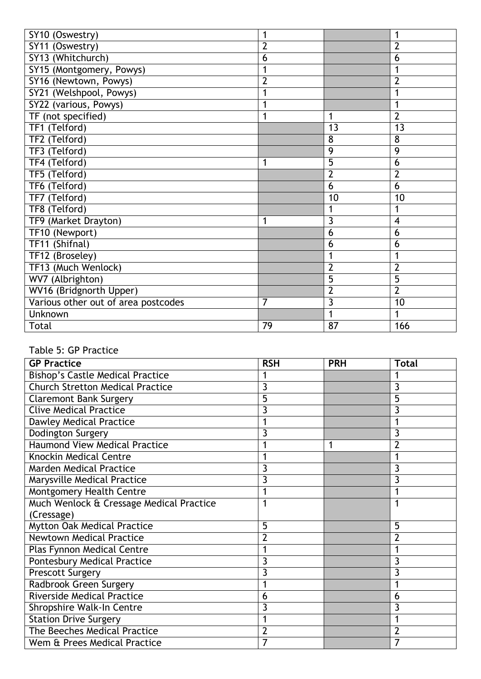| SY10 (Oswestry)                     |                |                | 1              |
|-------------------------------------|----------------|----------------|----------------|
| SY11 (Oswestry)                     | $\overline{2}$ |                | $\overline{2}$ |
| SY13 (Whitchurch)                   | 6              |                | 6              |
| SY15 (Montgomery, Powys)            |                |                | 1              |
| SY16 (Newtown, Powys)               | $\overline{2}$ |                | $\overline{2}$ |
| SY21 (Welshpool, Powys)             | 1              |                | 1              |
| SY22 (various, Powys)               | 1              |                | 1              |
| TF (not specified)                  |                | 1              | $\overline{2}$ |
| TF1 (Telford)                       |                | 13             | 13             |
| TF2 (Telford)                       |                | 8              | 8              |
| TF3 (Telford)                       |                | 9              | 9              |
| TF4 (Telford)                       | 1              | 5              | 6              |
| TF5 (Telford)                       |                | $\overline{2}$ | $\overline{2}$ |
| TF6 (Telford)                       |                | 6              | 6              |
| TF7 (Telford)                       |                | 10             | 10             |
| TF8 (Telford)                       |                | 1              | 1              |
| TF9 (Market Drayton)                | 1              | 3              | 4              |
| TF10 (Newport)                      |                | 6              | 6              |
| TF11 (Shifnal)                      |                | 6              | 6              |
| TF12 (Broseley)                     |                | 1              | 1              |
| TF13 (Much Wenlock)                 |                | $\overline{2}$ | $\overline{2}$ |
| WV7 (Albrighton)                    |                | 5              | 5              |
| WV16 (Bridgnorth Upper)             |                | $\overline{2}$ | $\overline{2}$ |
| Various other out of area postcodes | 7              | 3              | 10             |
| Unknown                             |                | 1              | 1              |
| Total                               |                |                |                |

### Table 5: GP Practice

| <b>GP Practice</b>                       | <b>RSH</b>     | <b>PRH</b> | <b>Total</b>   |
|------------------------------------------|----------------|------------|----------------|
| <b>Bishop's Castle Medical Practice</b>  |                |            |                |
| <b>Church Stretton Medical Practice</b>  | 3              |            | 3              |
| <b>Claremont Bank Surgery</b>            | 5              |            | 5              |
| <b>Clive Medical Practice</b>            | 3              |            | 3              |
| <b>Dawley Medical Practice</b>           |                |            |                |
| Dodington Surgery                        | 3              |            | 3              |
| <b>Haumond View Medical Practice</b>     |                |            | $\overline{2}$ |
| <b>Knockin Medical Centre</b>            |                |            |                |
| <b>Marden Medical Practice</b>           | 3              |            | 3              |
| Marysville Medical Practice              | 3              |            | 3              |
| Montgomery Health Centre                 |                |            |                |
| Much Wenlock & Cressage Medical Practice | 1              |            |                |
| (Cressage)                               |                |            |                |
| <b>Mytton Oak Medical Practice</b>       | 5              |            | 5              |
| <b>Newtown Medical Practice</b>          | $\overline{2}$ |            | $\overline{2}$ |
| Plas Fynnon Medical Centre               |                |            |                |
| <b>Pontesbury Medical Practice</b>       | 3              |            | 3              |
| <b>Prescott Surgery</b>                  | 3              |            | 3              |
| Radbrook Green Surgery                   | 1              |            |                |
| <b>Riverside Medical Practice</b>        | 6              |            | 6              |
| Shropshire Walk-In Centre                | 3              |            | 3              |
| <b>Station Drive Surgery</b>             |                |            |                |
| The Beeches Medical Practice             | $\overline{2}$ |            | $\overline{2}$ |
| Wem & Prees Medical Practice             |                |            | 7              |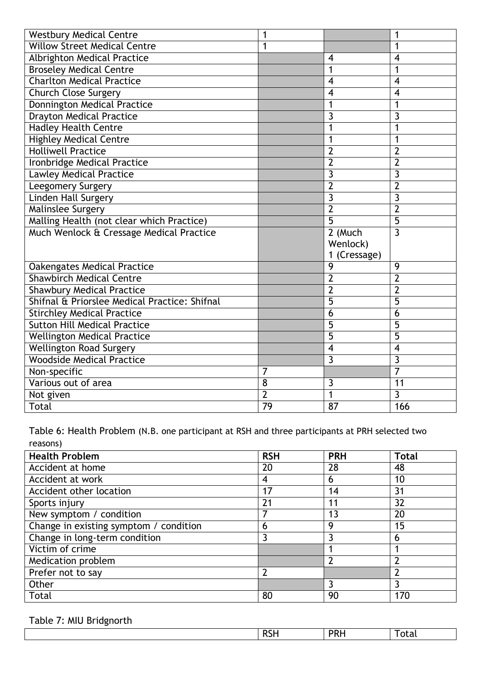| <b>Westbury Medical Centre</b>                | 1              |                         | 1              |
|-----------------------------------------------|----------------|-------------------------|----------------|
| <b>Willow Street Medical Centre</b>           | 1              |                         |                |
| <b>Albrighton Medical Practice</b>            |                | $\overline{4}$          | 4              |
| <b>Broseley Medical Centre</b>                |                | 1                       | 1              |
| <b>Charlton Medical Practice</b>              |                | $\overline{\mathbf{4}}$ | 4              |
| <b>Church Close Surgery</b>                   |                | $\overline{4}$          | 4              |
| Donnington Medical Practice                   |                | 1                       | 1              |
| <b>Drayton Medical Practice</b>               |                | 3                       | 3              |
| <b>Hadley Health Centre</b>                   |                | 1                       | 1              |
| <b>Highley Medical Centre</b>                 |                | 1                       | 1              |
| <b>Holliwell Practice</b>                     |                | $\overline{2}$          | $\overline{2}$ |
| Ironbridge Medical Practice                   |                | $\overline{2}$          | $\overline{2}$ |
| <b>Lawley Medical Practice</b>                |                | 3                       | 3              |
| Leegomery Surgery                             |                | $\overline{2}$          | $\overline{2}$ |
| <b>Linden Hall Surgery</b>                    |                | $\overline{3}$          | $\overline{3}$ |
| <b>Malinslee Surgery</b>                      |                | $\overline{2}$          | $\overline{2}$ |
| Malling Health (not clear which Practice)     |                | $\overline{5}$          | $\overline{5}$ |
| Much Wenlock & Cressage Medical Practice      |                | $\overline{2}$ (Much    | $\overline{3}$ |
|                                               |                | Wenlock)                |                |
|                                               |                | 1 (Cressage)            |                |
| <b>Oakengates Medical Practice</b>            |                | 9                       | 9              |
| <b>Shawbirch Medical Centre</b>               |                | $\overline{2}$          | $\overline{2}$ |
| <b>Shawbury Medical Practice</b>              |                | $\overline{2}$          | $\overline{2}$ |
| Shifnal & Priorslee Medical Practice: Shifnal |                | $\overline{5}$          | 5              |
| <b>Stirchley Medical Practice</b>             |                | 6                       | 6              |
| <b>Sutton Hill Medical Practice</b>           |                | $\overline{5}$          | $\overline{5}$ |
| <b>Wellington Medical Practice</b>            |                | $\overline{5}$          | 5              |
| <b>Wellington Road Surgery</b>                |                | $\overline{4}$          | $\overline{4}$ |
| <b>Woodside Medical Practice</b>              |                | 3                       | 3              |
| Non-specific                                  | 7              |                         | 7              |
| Various out of area                           | 8              | 3                       | 11             |
| Not given                                     | $\overline{2}$ | $\mathbf{1}$            | $\overline{3}$ |
| <b>Total</b>                                  | 79             | 87                      | 166            |

Table 6: Health Problem (N.B. one participant at RSH and three participants at PRH selected two reasons)

| <b>Health Problem</b>                  | <b>RSH</b>     | <b>PRH</b> | Total          |
|----------------------------------------|----------------|------------|----------------|
| Accident at home                       | 20             | 28         | 48             |
| Accident at work                       | 4              | 6          | 10             |
| Accident other location                | 17             | 14         | 31             |
| Sports injury                          | 21             | 11         | 32             |
| New symptom / condition                |                | 13         | 20             |
| Change in existing symptom / condition | 6              | 9          | 15             |
| Change in long-term condition          |                |            | 6              |
| Victim of crime                        |                |            |                |
| Medication problem                     |                |            | 2              |
| Prefer not to say                      | $\overline{2}$ |            | $\overline{2}$ |
| Other                                  |                |            | 3              |
| Total                                  | 80             | 90         | 170            |

Table 7: MIU Bridgnorth

|  |  | -<br>m<br>.<br>_____ |  | . |
|--|--|----------------------|--|---|
|--|--|----------------------|--|---|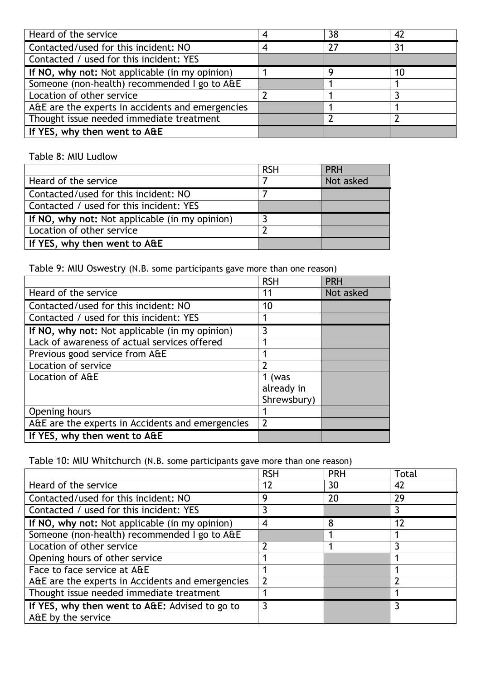| Heard of the service                             | 38 | 42 |
|--------------------------------------------------|----|----|
| Contacted/used for this incident: NO             | 27 | 31 |
| Contacted / used for this incident: YES          |    |    |
| If NO, why not: Not applicable (in my opinion)   |    | 10 |
| Someone (non-health) recommended I go to A&E     |    |    |
| Location of other service                        |    |    |
| A&E are the experts in accidents and emergencies |    |    |
| Thought issue needed immediate treatment         |    |    |
| If YES, why then went to A&E                     |    |    |

## Table 8: MIU Ludlow

|                                                | <b>RSH</b> | <b>PRH</b> |
|------------------------------------------------|------------|------------|
| Heard of the service                           |            | Not asked  |
| Contacted/used for this incident: NO           |            |            |
| Contacted / used for this incident: YES        |            |            |
| If NO, why not: Not applicable (in my opinion) |            |            |
| Location of other service                      |            |            |
| If YES, why then went to A&E                   |            |            |

Table 9: MIU Oswestry (N.B. some participants gave more than one reason)

|                                                  | <b>RSH</b>               | <b>PRH</b> |
|--------------------------------------------------|--------------------------|------------|
| Heard of the service                             | 11                       | Not asked  |
| Contacted/used for this incident: NO             | 10                       |            |
| Contacted / used for this incident: YES          |                          |            |
| If NO, why not: Not applicable (in my opinion)   | 3                        |            |
| Lack of awareness of actual services offered     |                          |            |
| Previous good service from A&E                   |                          |            |
| Location of service                              | $\mathfrak{p}$           |            |
| Location of A&E                                  | 1 (was                   |            |
|                                                  | already in               |            |
|                                                  | Shrewsbury)              |            |
| Opening hours                                    |                          |            |
| A&E are the experts in Accidents and emergencies | $\overline{\phantom{a}}$ |            |
| If YES, why then went to A&E                     |                          |            |

Table 10: MIU Whitchurch (N.B. some participants gave more than one reason)

|                                                  | <b>RSH</b>               | <b>PRH</b> | Total |
|--------------------------------------------------|--------------------------|------------|-------|
| Heard of the service                             | 12                       | 30         | 42    |
| Contacted/used for this incident: NO             | 9                        | 20         | 29    |
| Contacted / used for this incident: YES          |                          |            |       |
| If NO, why not: Not applicable (in my opinion)   | 4                        | 8          | 12    |
| Someone (non-health) recommended I go to A&E     |                          |            |       |
| Location of other service                        |                          |            | 3     |
| Opening hours of other service                   |                          |            |       |
| Face to face service at A&E                      |                          |            |       |
| A&E are the experts in Accidents and emergencies | $\overline{\phantom{a}}$ |            |       |
| Thought issue needed immediate treatment         |                          |            |       |
| If YES, why then went to A&E: Advised to go to   | 3                        |            |       |
| A&E by the service                               |                          |            |       |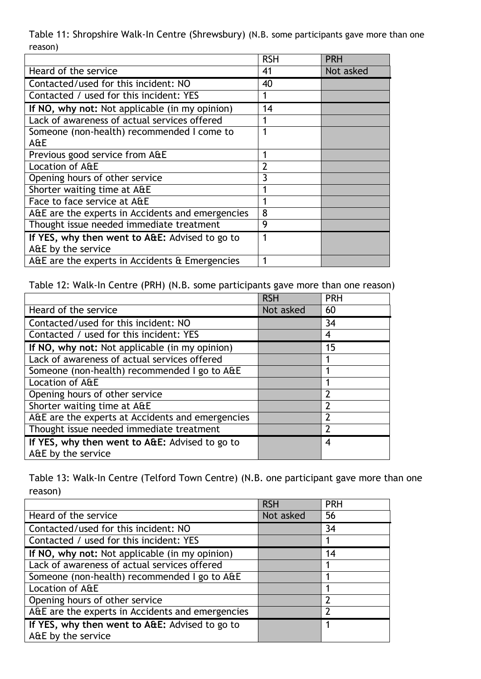Table 11: Shropshire Walk-In Centre (Shrewsbury) (N.B. some participants gave more than one reason)

|                                                  | <b>RSH</b>     | <b>PRH</b> |
|--------------------------------------------------|----------------|------------|
| Heard of the service                             | 41             | Not asked  |
| Contacted/used for this incident: NO             | 40             |            |
| Contacted / used for this incident: YES          |                |            |
| If NO, why not: Not applicable (in my opinion)   | 14             |            |
| Lack of awareness of actual services offered     |                |            |
| Someone (non-health) recommended I come to       | 1              |            |
| A&E                                              |                |            |
| Previous good service from A&E                   |                |            |
| Location of A&E                                  | $\overline{2}$ |            |
| Opening hours of other service                   | 3              |            |
| Shorter waiting time at A&E                      |                |            |
| Face to face service at A&E                      |                |            |
| A&E are the experts in Accidents and emergencies | 8              |            |
| Thought issue needed immediate treatment         | 9              |            |
| If YES, why then went to A&E: Advised to go to   | 1              |            |
| A&E by the service                               |                |            |
| A&E are the experts in Accidents & Emergencies   | 1              |            |

Table 12: Walk-In Centre (PRH) (N.B. some participants gave more than one reason)

|                                                  | <b>RSH</b> | <b>PRH</b>       |
|--------------------------------------------------|------------|------------------|
| Heard of the service                             | Not asked  | 60               |
| Contacted/used for this incident: NO             |            | 34               |
| Contacted / used for this incident: YES          |            | 4                |
| If NO, why not: Not applicable (in my opinion)   |            | 15               |
| Lack of awareness of actual services offered     |            |                  |
| Someone (non-health) recommended I go to A&E     |            |                  |
| Location of A&E                                  |            |                  |
| Opening hours of other service                   |            | 7                |
| Shorter waiting time at A&E                      |            | $\mathcal{P}$    |
| A&E are the experts at Accidents and emergencies |            | $\overline{2}$   |
| Thought issue needed immediate treatment         |            | 2                |
| If YES, why then went to A&E: Advised to go to   |            | $\boldsymbol{4}$ |
| A&E by the service                               |            |                  |

Table 13: Walk-In Centre (Telford Town Centre) (N.B. one participant gave more than one reason)

|                                                  | <b>RSH</b> | <b>PRH</b> |
|--------------------------------------------------|------------|------------|
| Heard of the service                             | Not asked  | 56         |
| Contacted/used for this incident: NO             |            | 34         |
| Contacted / used for this incident: YES          |            |            |
| If NO, why not: Not applicable (in my opinion)   |            | 14         |
| Lack of awareness of actual services offered     |            |            |
| Someone (non-health) recommended I go to A&E     |            |            |
| Location of A&E                                  |            |            |
| Opening hours of other service                   |            | າ          |
| A&E are the experts in Accidents and emergencies |            | 2          |
| If YES, why then went to A&E: Advised to go to   |            |            |
| A&E by the service                               |            |            |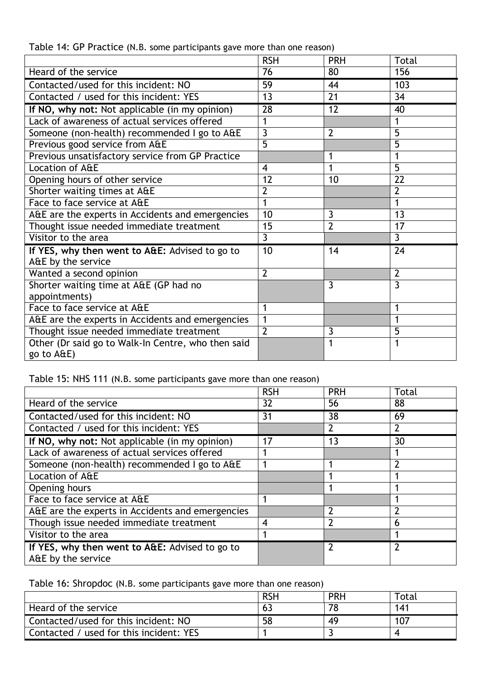|                                                                      | <b>RSH</b>     | <b>PRH</b>     | Total          |
|----------------------------------------------------------------------|----------------|----------------|----------------|
| Heard of the service                                                 | 76             | 80             | 156            |
| Contacted/used for this incident: NO                                 | 59             | 44             | 103            |
| Contacted / used for this incident: YES                              | 13             | 21             | 34             |
| If NO, why not: Not applicable (in my opinion)                       | 28             | 12             | 40             |
| Lack of awareness of actual services offered                         | 1              |                | 1              |
| Someone (non-health) recommended I go to A&E                         | $\overline{3}$ | $\overline{2}$ | 5              |
| Previous good service from A&E                                       | 5              |                | 5              |
| Previous unsatisfactory service from GP Practice                     |                | 1              | 1              |
| Location of A&E                                                      | $\overline{4}$ | 1              | 5              |
| Opening hours of other service                                       | 12             | 10             | 22             |
| Shorter waiting times at A&E                                         | $\overline{2}$ |                | $\overline{2}$ |
| Face to face service at A&E                                          |                |                | 1              |
| A&E are the experts in Accidents and emergencies                     | 10             | 3              | 13             |
| Thought issue needed immediate treatment                             | 15             | $\overline{2}$ | 17             |
| Visitor to the area                                                  | $\overline{3}$ |                | $\overline{3}$ |
| If YES, why then went to A&E: Advised to go to<br>A&E by the service | 10             | 14             | 24             |
| Wanted a second opinion                                              | $\overline{2}$ |                | $\overline{2}$ |
| Shorter waiting time at A&E (GP had no                               |                | 3              | 3              |
| appointments)                                                        |                |                |                |
| Face to face service at A&E                                          |                |                | 1              |
| A&E are the experts in Accidents and emergencies                     |                |                | 1              |
| Thought issue needed immediate treatment                             | $\overline{2}$ | 3              | 5              |
| Other (Dr said go to Walk-In Centre, who then said<br>go to A&E)     |                | 1              | 1              |

Table 14: GP Practice (N.B. some participants gave more than one reason)

Table 15: NHS 111 (N.B. some participants gave more than one reason)

|                                                                      | <b>RSH</b>       | <b>PRH</b>    | Total          |
|----------------------------------------------------------------------|------------------|---------------|----------------|
| Heard of the service                                                 | 32               | 56            | 88             |
| Contacted/used for this incident: NO                                 | 31               | 38            | 69             |
| Contacted / used for this incident: YES                              |                  |               | $\overline{2}$ |
| If NO, why not: Not applicable (in my opinion)                       | 17               | 13            | 30             |
| Lack of awareness of actual services offered                         |                  |               |                |
| Someone (non-health) recommended I go to A&E                         |                  |               | $\overline{2}$ |
| Location of A&E                                                      |                  |               |                |
| Opening hours                                                        |                  |               |                |
| Face to face service at A&E                                          |                  |               |                |
| A&E are the experts in Accidents and emergencies                     |                  | $\mathcal{P}$ | $\overline{2}$ |
| Though issue needed immediate treatment                              | $\boldsymbol{4}$ |               | 6              |
| Visitor to the area                                                  |                  |               |                |
| If YES, why then went to A&E: Advised to go to<br>A&E by the service |                  |               | $\overline{2}$ |

Table 16: Shropdoc (N.B. some participants gave more than one reason)

|                                         | <b>RSH</b> | <b>PRH</b> | Total |
|-----------------------------------------|------------|------------|-------|
| Heard of the service                    |            |            | 141   |
| Contacted/used for this incident: NO    | 58         | -49        | 107   |
| Contacted / used for this incident: YES |            |            |       |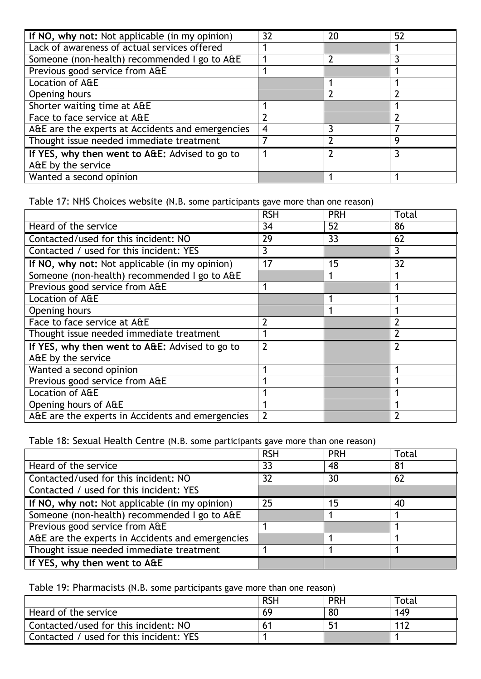| If NO, why not: Not applicable (in my opinion)   | 32 | 20 | 52             |
|--------------------------------------------------|----|----|----------------|
| Lack of awareness of actual services offered     |    |    |                |
| Someone (non-health) recommended I go to A&E     |    |    |                |
| Previous good service from A&E                   |    |    |                |
| Location of A&E                                  |    |    |                |
| Opening hours                                    |    |    | $\overline{2}$ |
| Shorter waiting time at A&E                      |    |    |                |
| Face to face service at A&E                      |    |    |                |
| A&E are the experts at Accidents and emergencies | 4  |    |                |
| Thought issue needed immediate treatment         |    |    | q              |
| If YES, why then went to A&E: Advised to go to   |    |    |                |
| A&E by the service                               |    |    |                |
| Wanted a second opinion                          |    |    |                |

Table 17: NHS Choices website (N.B. some participants gave more than one reason)

|                                                  | <b>RSH</b>     | <b>PRH</b> | <b>Total</b>   |
|--------------------------------------------------|----------------|------------|----------------|
| Heard of the service                             | 34             | 52         | 86             |
| Contacted/used for this incident: NO             | 29             | 33         | 62             |
| Contacted / used for this incident: YES          | 3              |            | 3              |
| If NO, why not: Not applicable (in my opinion)   | 17             | 15         | 32             |
| Someone (non-health) recommended I go to A&E     |                |            |                |
| Previous good service from A&E                   |                |            |                |
| Location of A&E                                  |                |            |                |
| Opening hours                                    |                |            |                |
| Face to face service at A&E                      | $\overline{2}$ |            | $\overline{2}$ |
| Thought issue needed immediate treatment         |                |            | $\overline{2}$ |
| If YES, why then went to A&E: Advised to go to   | $\overline{2}$ |            | $\overline{2}$ |
| A&E by the service                               |                |            |                |
| Wanted a second opinion                          |                |            |                |
| Previous good service from A&E                   |                |            |                |
| Location of A&E                                  |                |            |                |
| Opening hours of A&E                             |                |            |                |
| A&E are the experts in Accidents and emergencies | $\overline{2}$ |            | $\overline{2}$ |

Table 18: Sexual Health Centre (N.B. some participants gave more than one reason)

|                                                  | <b>RSH</b> | <b>PRH</b> | Total |
|--------------------------------------------------|------------|------------|-------|
| Heard of the service                             | 33         | 48         | 81    |
| Contacted/used for this incident: NO             | 32         | 30         | 62    |
| Contacted / used for this incident: YES          |            |            |       |
| If NO, why not: Not applicable (in my opinion)   | 25         | 15         | 40    |
| Someone (non-health) recommended I go to A&E     |            |            |       |
| Previous good service from A&E                   |            |            |       |
| A&E are the experts in Accidents and emergencies |            |            |       |
| Thought issue needed immediate treatment         |            |            |       |
| If YES, why then went to A&E                     |            |            |       |

Table 19: Pharmacists (N.B. some participants gave more than one reason)

|                                         | <b>RSH</b> | <b>PRH</b> | Total |
|-----------------------------------------|------------|------------|-------|
| Heard of the service                    | 69         | 80         | 149   |
| Contacted/used for this incident: NO    |            |            | 112   |
| Contacted / used for this incident: YES |            |            |       |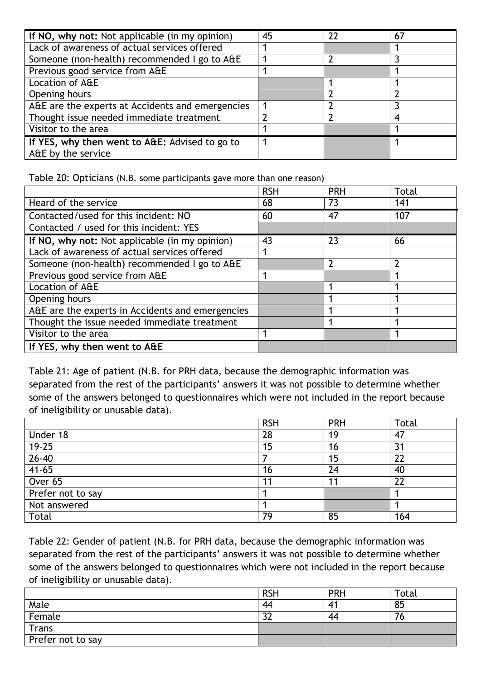| If NO, why not: Not applicable (in my opinion)   | 45 | 22 | 67 |
|--------------------------------------------------|----|----|----|
| Lack of awareness of actual services offered     |    |    |    |
| Someone (non-health) recommended I go to A&E     |    |    |    |
| Previous good service from A&E                   |    |    |    |
| Location of A&E                                  |    |    |    |
| Opening hours                                    |    |    |    |
| A&E are the experts at Accidents and emergencies |    |    |    |
| Thought issue needed immediate treatment         |    |    | 4  |
| Visitor to the area                              |    |    |    |
| If YES, why then went to A&E: Advised to go to   |    |    |    |
| A&E by the service                               |    |    |    |

Table 20: Opticians (N.B. some participants gave more than one reason)

|                                                  | <b>RSH</b> | <b>PRH</b> | <b>Total</b>   |
|--------------------------------------------------|------------|------------|----------------|
| Heard of the service                             | 68         | 73         | 141            |
| Contacted/used for this incident: NO             | 60         | 47         | 107            |
| Contacted / used for this incident: YES          |            |            |                |
| If NO, why not: Not applicable (in my opinion)   | 43         | 23         | 66             |
| Lack of awareness of actual services offered     |            |            |                |
| Someone (non-health) recommended I go to A&E     |            |            | $\overline{2}$ |
| Previous good service from A&E                   |            |            |                |
| Location of A&E                                  |            |            |                |
| Opening hours                                    |            |            |                |
| A&E are the experts in Accidents and emergencies |            |            |                |
| Thought the issue needed immediate treatment     |            |            |                |
| Visitor to the area                              |            |            |                |
| If YES, why then went to A&E                     |            |            |                |

Table 21: Age of patient (N.B. for PRH data, because the demographic information was separated from the rest of the participants' answers it was not possible to determine whether some of the answers belonged to questionnaires which were not included in the report because of ineligibility or unusable data).

|                   | <b>RSH</b> | <b>PRH</b> | <b>Total</b> |
|-------------------|------------|------------|--------------|
| Under 18          | 28         | 19         | 47           |
| $19 - 25$         | 15         | 16         | 31           |
| $26 - 40$         |            | 15         | 22           |
| $41 - 65$         | 16         | 24         | 40           |
| Over 65           | 11         | 11         | 22           |
| Prefer not to say |            |            |              |
| Not answered      |            |            |              |
| Total             | 79         | 85         | 164          |

Table 22: Gender of patient (N.B. for PRH data, because the demographic information was separated from the rest of the participants' answers it was not possible to determine whether some of the answers belonged to questionnaires which were not included in the report because of ineligibility or unusable data).

|                             | <b>RSH</b>   | <b>PRH</b> | Total |
|-----------------------------|--------------|------------|-------|
| Male                        | 44           |            | 85    |
| Female                      | $\sim$<br>JL | 44         | 76    |
| $\overline{\mathsf{Trans}}$ |              |            |       |
| Prefer not to say           |              |            |       |